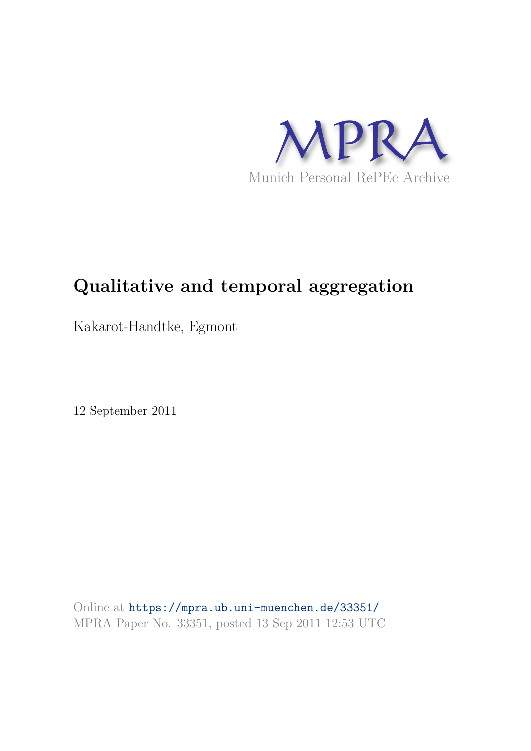

# **Qualitative and temporal aggregation**

Kakarot-Handtke, Egmont

12 September 2011

Online at https://mpra.ub.uni-muenchen.de/33351/ MPRA Paper No. 33351, posted 13 Sep 2011 12:53 UTC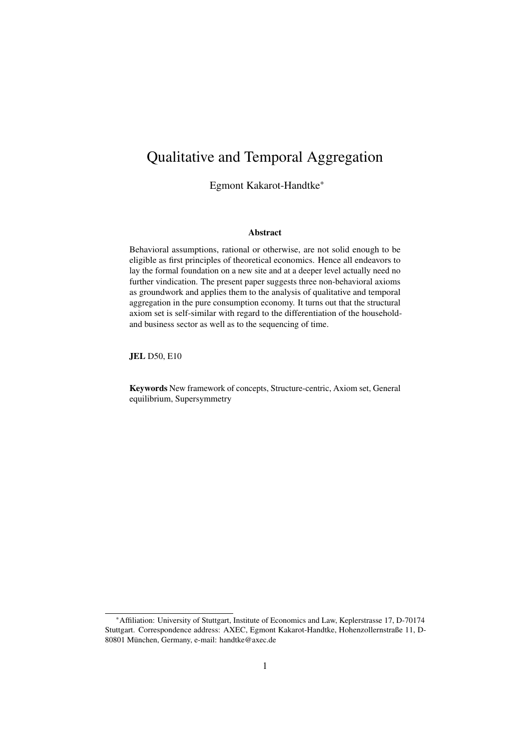# Qualitative and Temporal Aggregation

Egmont Kakarot-Handtke\*

#### Abstract

Behavioral assumptions, rational or otherwise, are not solid enough to be eligible as first principles of theoretical economics. Hence all endeavors to lay the formal foundation on a new site and at a deeper level actually need no further vindication. The present paper suggests three non-behavioral axioms as groundwork and applies them to the analysis of qualitative and temporal aggregation in the pure consumption economy. It turns out that the structural axiom set is self-similar with regard to the differentiation of the householdand business sector as well as to the sequencing of time.

JEL D50, E10

Keywords New framework of concepts, Structure-centric, Axiom set, General equilibrium, Supersymmetry

<sup>\*</sup>Affiliation: University of Stuttgart, Institute of Economics and Law, Keplerstrasse 17, D-70174 Stuttgart. Correspondence address: AXEC, Egmont Kakarot-Handtke, Hohenzollernstraße 11, D-80801 München, Germany, e-mail: handtke@axec.de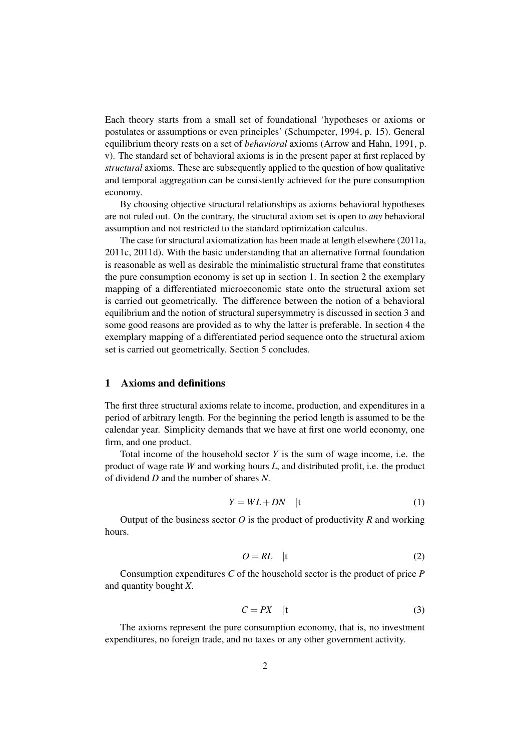Each theory starts from a small set of foundational 'hypotheses or axioms or postulates or assumptions or even principles' (Schumpeter, 1994, p. 15). General equilibrium theory rests on a set of *behavioral* axioms (Arrow and Hahn, 1991, p. v). The standard set of behavioral axioms is in the present paper at first replaced by *structural* axioms. These are subsequently applied to the question of how qualitative and temporal aggregation can be consistently achieved for the pure consumption economy.

By choosing objective structural relationships as axioms behavioral hypotheses are not ruled out. On the contrary, the structural axiom set is open to *any* behavioral assumption and not restricted to the standard optimization calculus.

The case for structural axiomatization has been made at length elsewhere (2011a, 2011c, 2011d). With the basic understanding that an alternative formal foundation is reasonable as well as desirable the minimalistic structural frame that constitutes the pure consumption economy is set up in section 1. In section 2 the exemplary mapping of a differentiated microeconomic state onto the structural axiom set is carried out geometrically. The difference between the notion of a behavioral equilibrium and the notion of structural supersymmetry is discussed in section 3 and some good reasons are provided as to why the latter is preferable. In section 4 the exemplary mapping of a differentiated period sequence onto the structural axiom set is carried out geometrically. Section 5 concludes.

#### 1 Axioms and definitions

The first three structural axioms relate to income, production, and expenditures in a period of arbitrary length. For the beginning the period length is assumed to be the calendar year. Simplicity demands that we have at first one world economy, one firm, and one product.

Total income of the household sector *Y* is the sum of wage income, i.e. the product of wage rate *W* and working hours *L*, and distributed profit, i.e. the product of dividend *D* and the number of shares *N*.

$$
Y = WL + DN \quad |t \tag{1}
$$

Output of the business sector  $O$  is the product of productivity  $R$  and working hours.

$$
O = RL \quad |t \tag{2}
$$

Consumption expenditures *C* of the household sector is the product of price *P* and quantity bought *X*.

$$
C = PX \quad \text{(1)}
$$

The axioms represent the pure consumption economy, that is, no investment expenditures, no foreign trade, and no taxes or any other government activity.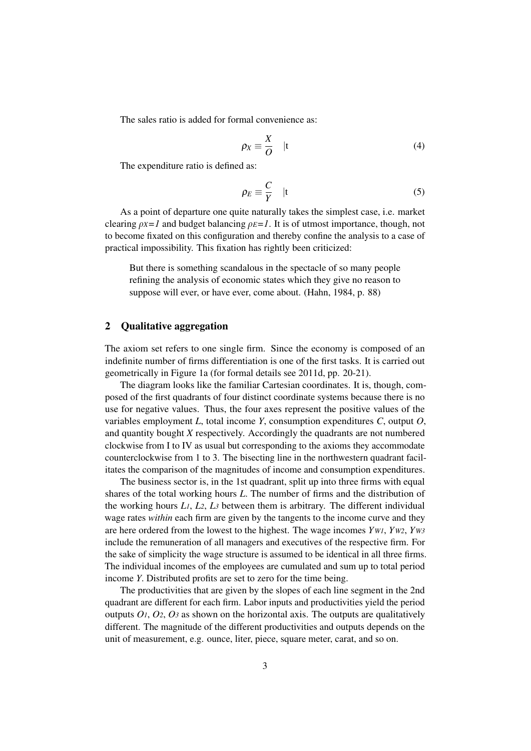The sales ratio is added for formal convenience as:

$$
\rho_X \equiv \frac{X}{O} \quad |t \tag{4}
$$

The expenditure ratio is defined as:

$$
\rho_E \equiv \frac{C}{Y} \quad |t \tag{5}
$$

As a point of departure one quite naturally takes the simplest case, i.e. market clearing  $\rho X = 1$  and budget balancing  $\rho E = 1$ . It is of utmost importance, though, not to become fixated on this configuration and thereby confine the analysis to a case of practical impossibility. This fixation has rightly been criticized:

But there is something scandalous in the spectacle of so many people refining the analysis of economic states which they give no reason to suppose will ever, or have ever, come about. (Hahn, 1984, p. 88)

# 2 Qualitative aggregation

The axiom set refers to one single firm. Since the economy is composed of an indefinite number of firms differentiation is one of the first tasks. It is carried out geometrically in Figure 1a (for formal details see 2011d, pp. 20-21).

The diagram looks like the familiar Cartesian coordinates. It is, though, composed of the first quadrants of four distinct coordinate systems because there is no use for negative values. Thus, the four axes represent the positive values of the variables employment *L*, total income *Y*, consumption expenditures *C*, output *O*, and quantity bought *X* respectively. Accordingly the quadrants are not numbered clockwise from I to IV as usual but corresponding to the axioms they accommodate counterclockwise from 1 to 3. The bisecting line in the northwestern quadrant facilitates the comparison of the magnitudes of income and consumption expenditures.

The business sector is, in the 1st quadrant, split up into three firms with equal shares of the total working hours *L*. The number of firms and the distribution of the working hours  $L_1$ ,  $L_2$ ,  $L_3$  between them is arbitrary. The different individual wage rates *within* each firm are given by the tangents to the income curve and they are here ordered from the lowest to the highest. The wage incomes *YW1*, *YW2*, *YW3* include the remuneration of all managers and executives of the respective firm. For the sake of simplicity the wage structure is assumed to be identical in all three firms. The individual incomes of the employees are cumulated and sum up to total period income *Y*. Distributed profits are set to zero for the time being.

The productivities that are given by the slopes of each line segment in the 2nd quadrant are different for each firm. Labor inputs and productivities yield the period outputs  $O_1$ ,  $O_2$ ,  $O_3$  as shown on the horizontal axis. The outputs are qualitatively different. The magnitude of the different productivities and outputs depends on the unit of measurement, e.g. ounce, liter, piece, square meter, carat, and so on.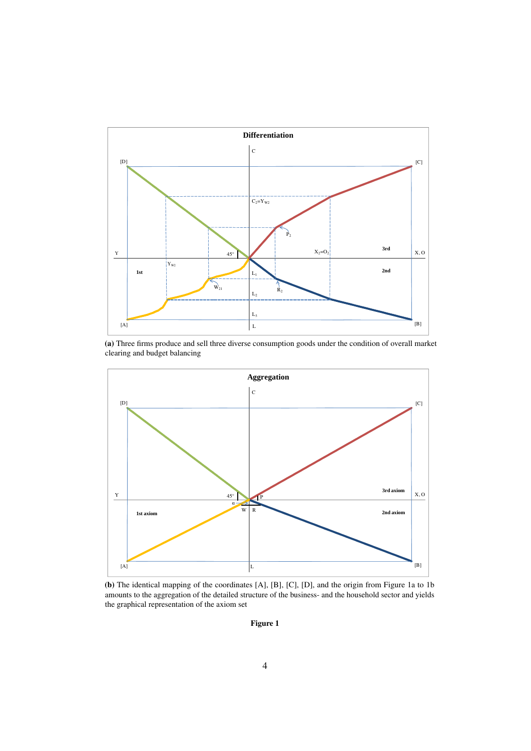

(a) Three firms produce and sell three diverse consumption goods under the condition of overall market clearing and budget balancing



(b) The identical mapping of the coordinates [A], [B], [C], [D], and the origin from Figure 1a to 1b amounts to the aggregation of the detailed structure of the business- and the household sector and yields the graphical representation of the axiom set

Figure 1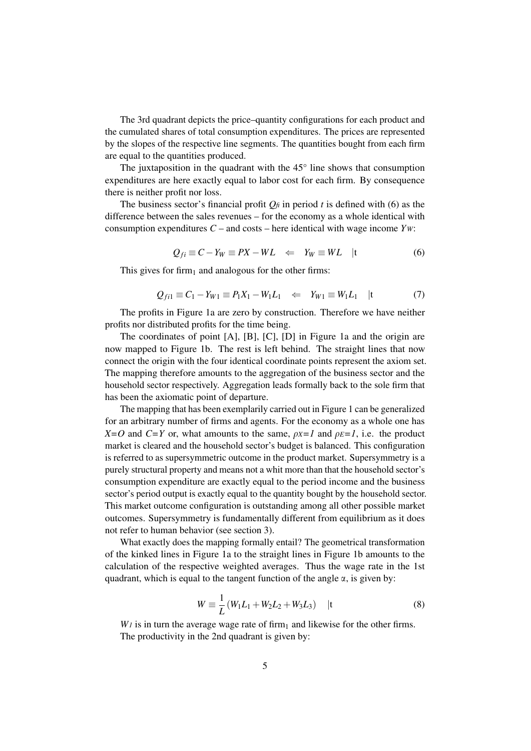The 3rd quadrant depicts the price–quantity configurations for each product and the cumulated shares of total consumption expenditures. The prices are represented by the slopes of the respective line segments. The quantities bought from each firm are equal to the quantities produced.

The juxtaposition in the quadrant with the  $45^\circ$  line shows that consumption expenditures are here exactly equal to labor cost for each firm. By consequence there is neither profit nor loss.

The business sector's financial profit  $Q_f$  in period *t* is defined with (6) as the difference between the sales revenues – for the economy as a whole identical with consumption expenditures *C* – and costs – here identical with wage income *YW*:

$$
Q_{fi} \equiv C - Y_W \equiv PX - WL \iff Y_W \equiv WL \quad |t \tag{6}
$$

This gives for firm<sub>1</sub> and analogous for the other firms:

$$
Q_{fil} \equiv C_1 - Y_{W1} \equiv P_1 X_1 - W_1 L_1 \quad \Leftarrow \quad Y_{W1} \equiv W_1 L_1 \quad |t \tag{7}
$$

The profits in Figure 1a are zero by construction. Therefore we have neither profits nor distributed profits for the time being.

The coordinates of point [A], [B], [C], [D] in Figure 1a and the origin are now mapped to Figure 1b. The rest is left behind. The straight lines that now connect the origin with the four identical coordinate points represent the axiom set. The mapping therefore amounts to the aggregation of the business sector and the household sector respectively. Aggregation leads formally back to the sole firm that has been the axiomatic point of departure.

The mapping that has been exemplarily carried out in Figure 1 can be generalized for an arbitrary number of firms and agents. For the economy as a whole one has *X*=*O* and *C*=*Y* or, what amounts to the same,  $\rho$ *x*=*I* and  $\rho$ *E*=*I*, i.e. the product market is cleared and the household sector's budget is balanced. This configuration is referred to as supersymmetric outcome in the product market. Supersymmetry is a purely structural property and means not a whit more than that the household sector's consumption expenditure are exactly equal to the period income and the business sector's period output is exactly equal to the quantity bought by the household sector. This market outcome configuration is outstanding among all other possible market outcomes. Supersymmetry is fundamentally different from equilibrium as it does not refer to human behavior (see section 3).

What exactly does the mapping formally entail? The geometrical transformation of the kinked lines in Figure 1a to the straight lines in Figure 1b amounts to the calculation of the respective weighted averages. Thus the wage rate in the 1st quadrant, which is equal to the tangent function of the angle  $\alpha$ , is given by:

$$
W \equiv \frac{1}{L} (W_1 L_1 + W_2 L_2 + W_3 L_3) \quad |t \tag{8}
$$

 $W_1$  is in turn the average wage rate of firm<sub>1</sub> and likewise for the other firms. The productivity in the 2nd quadrant is given by: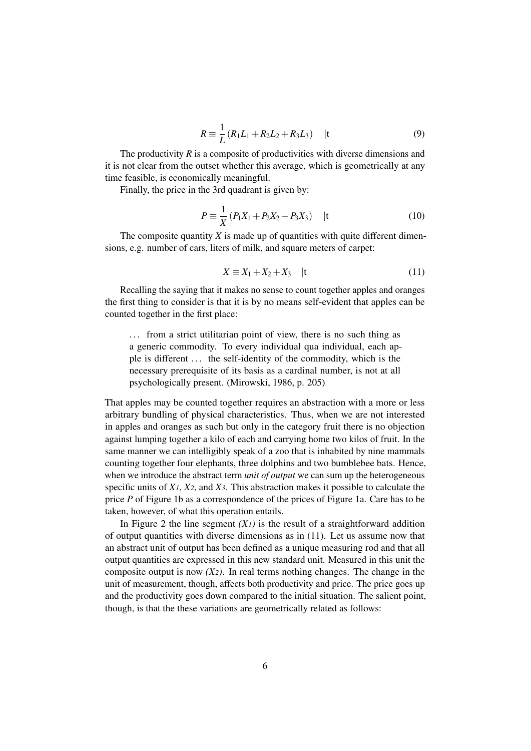$$
R \equiv \frac{1}{L} (R_1 L_1 + R_2 L_2 + R_3 L_3) \quad |t \tag{9}
$$

The productivity  $R$  is a composite of productivities with diverse dimensions and it is not clear from the outset whether this average, which is geometrically at any time feasible, is economically meaningful.

Finally, the price in the 3rd quadrant is given by:

$$
P = \frac{1}{X} (P_1 X_1 + P_2 X_2 + P_3 X_3) \quad |t \tag{10}
$$

The composite quantity  $X$  is made up of quantities with quite different dimensions, e.g. number of cars, liters of milk, and square meters of carpet:

$$
X \equiv X_1 + X_2 + X_3 \quad |t \tag{11}
$$

Recalling the saying that it makes no sense to count together apples and oranges the first thing to consider is that it is by no means self-evident that apples can be counted together in the first place:

... from a strict utilitarian point of view, there is no such thing as a generic commodity. To every individual qua individual, each apple is different . . . the self-identity of the commodity, which is the necessary prerequisite of its basis as a cardinal number, is not at all psychologically present. (Mirowski, 1986, p. 205)

That apples may be counted together requires an abstraction with a more or less arbitrary bundling of physical characteristics. Thus, when we are not interested in apples and oranges as such but only in the category fruit there is no objection against lumping together a kilo of each and carrying home two kilos of fruit. In the same manner we can intelligibly speak of a zoo that is inhabited by nine mammals counting together four elephants, three dolphins and two bumblebee bats. Hence, when we introduce the abstract term *unit of output* we can sum up the heterogeneous specific units of *X1*, *X2*, and *X3*. This abstraction makes it possible to calculate the price *P* of Figure 1b as a correspondence of the prices of Figure 1a. Care has to be taken, however, of what this operation entails.

In Figure 2 the line segment  $(X<sub>l</sub>)$  is the result of a straightforward addition of output quantities with diverse dimensions as in (11). Let us assume now that an abstract unit of output has been defined as a unique measuring rod and that all output quantities are expressed in this new standard unit. Measured in this unit the composite output is now  $(X_2)$ . In real terms nothing changes. The change in the unit of measurement, though, affects both productivity and price. The price goes up and the productivity goes down compared to the initial situation. The salient point, though, is that the these variations are geometrically related as follows: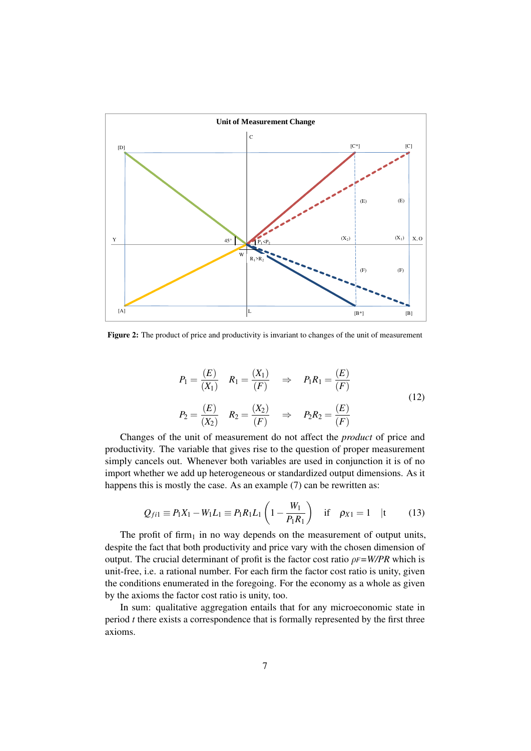

Figure 2: The product of price and productivity is invariant to changes of the unit of measurement

$$
P_1 = \frac{(E)}{(X_1)} \quad R_1 = \frac{(X_1)}{(F)} \quad \Rightarrow \quad P_1 R_1 = \frac{(E)}{(F)}
$$
  

$$
P_2 = \frac{(E)}{(X_2)} \quad R_2 = \frac{(X_2)}{(F)} \quad \Rightarrow \quad P_2 R_2 = \frac{(E)}{(F)}
$$
 (12)

Changes of the unit of measurement do not affect the *product* of price and productivity. The variable that gives rise to the question of proper measurement simply cancels out. Whenever both variables are used in conjunction it is of no import whether we add up heterogeneous or standardized output dimensions. As it happens this is mostly the case. As an example (7) can be rewritten as:

$$
Q_{fil} \equiv P_1 X_1 - W_1 L_1 \equiv P_1 R_1 L_1 \left( 1 - \frac{W_1}{P_1 R_1} \right) \quad \text{if} \quad \rho_{X1} = 1 \quad |t \tag{13}
$$

The profit of firm<sub>1</sub> in no way depends on the measurement of output units, despite the fact that both productivity and price vary with the chosen dimension of output. The crucial determinant of profit is the factor cost ratio  $\rho F = W/PR$  which is unit-free, i.e. a rational number. For each firm the factor cost ratio is unity, given the conditions enumerated in the foregoing. For the economy as a whole as given by the axioms the factor cost ratio is unity, too.

In sum: qualitative aggregation entails that for any microeconomic state in period *t* there exists a correspondence that is formally represented by the first three axioms.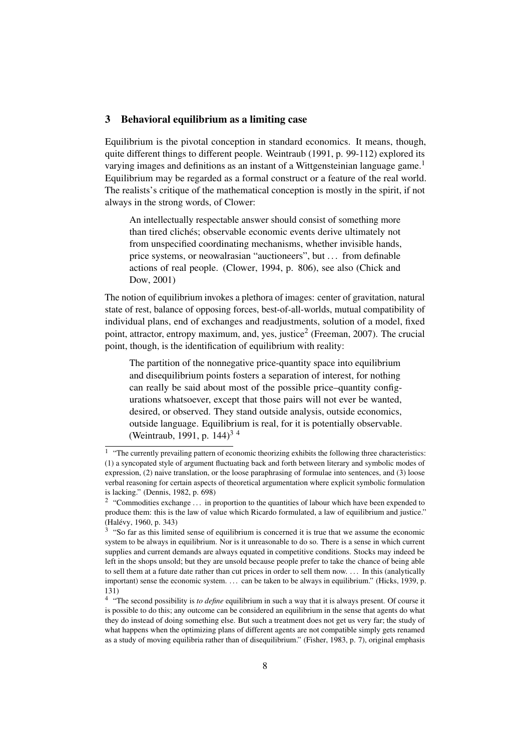#### 3 Behavioral equilibrium as a limiting case

Equilibrium is the pivotal conception in standard economics. It means, though, quite different things to different people. Weintraub (1991, p. 99-112) explored its varying images and definitions as an instant of a Wittgensteinian language game.<sup>1</sup> Equilibrium may be regarded as a formal construct or a feature of the real world. The realists's critique of the mathematical conception is mostly in the spirit, if not always in the strong words, of Clower:

An intellectually respectable answer should consist of something more than tired clichés; observable economic events derive ultimately not from unspecified coordinating mechanisms, whether invisible hands, price systems, or neowalrasian "auctioneers", but . . . from definable actions of real people. (Clower, 1994, p. 806), see also (Chick and Dow, 2001)

The notion of equilibrium invokes a plethora of images: center of gravitation, natural state of rest, balance of opposing forces, best-of-all-worlds, mutual compatibility of individual plans, end of exchanges and readjustments, solution of a model, fixed point, attractor, entropy maximum, and, yes, justice<sup>2</sup> (Freeman, 2007). The crucial point, though, is the identification of equilibrium with reality:

The partition of the nonnegative price-quantity space into equilibrium and disequilibrium points fosters a separation of interest, for nothing can really be said about most of the possible price–quantity configurations whatsoever, except that those pairs will not ever be wanted, desired, or observed. They stand outside analysis, outside economics, outside language. Equilibrium is real, for it is potentially observable. (Weintraub, 1991, p. 144)3 4

<sup>&</sup>lt;sup>1</sup> "The currently prevailing pattern of economic theorizing exhibits the following three characteristics: (1) a syncopated style of argument fluctuating back and forth between literary and symbolic modes of expression, (2) naive translation, or the loose paraphrasing of formulae into sentences, and (3) loose verbal reasoning for certain aspects of theoretical argumentation where explicit symbolic formulation is lacking." (Dennis, 1982, p. 698)

<sup>&</sup>lt;sup>2</sup> "Commodities exchange  $\dots$  in proportion to the quantities of labour which have been expended to produce them: this is the law of value which Ricardo formulated, a law of equilibrium and justice." (Halévy, 1960, p. 343)

<sup>&</sup>lt;sup>3</sup> "So far as this limited sense of equilibrium is concerned it is true that we assume the economic system to be always in equilibrium. Nor is it unreasonable to do so. There is a sense in which current supplies and current demands are always equated in competitive conditions. Stocks may indeed be left in the shops unsold; but they are unsold because people prefer to take the chance of being able to sell them at a future date rather than cut prices in order to sell them now. . . . In this (analytically important) sense the economic system. . . . can be taken to be always in equilibrium." (Hicks, 1939, p. 131)

<sup>&</sup>lt;sup>4</sup> "The second possibility is *to define* equilibrium in such a way that it is always present. Of course it is possible to do this; any outcome can be considered an equilibrium in the sense that agents do what they do instead of doing something else. But such a treatment does not get us very far; the study of what happens when the optimizing plans of different agents are not compatible simply gets renamed as a study of moving equilibria rather than of disequilibrium." (Fisher, 1983, p. 7), original emphasis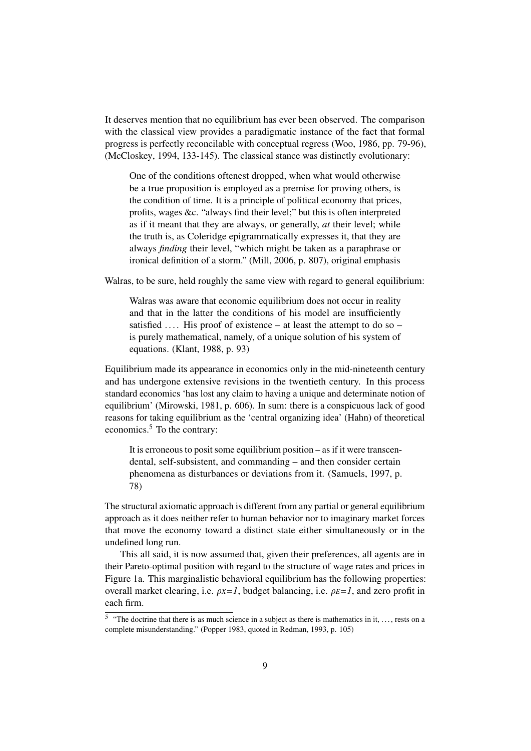It deserves mention that no equilibrium has ever been observed. The comparison with the classical view provides a paradigmatic instance of the fact that formal progress is perfectly reconcilable with conceptual regress (Woo, 1986, pp. 79-96), (McCloskey, 1994, 133-145). The classical stance was distinctly evolutionary:

One of the conditions oftenest dropped, when what would otherwise be a true proposition is employed as a premise for proving others, is the condition of time. It is a principle of political economy that prices, profits, wages &c. "always find their level;" but this is often interpreted as if it meant that they are always, or generally, *at* their level; while the truth is, as Coleridge epigrammatically expresses it, that they are always *finding* their level, "which might be taken as a paraphrase or ironical definition of a storm." (Mill, 2006, p. 807), original emphasis

Walras, to be sure, held roughly the same view with regard to general equilibrium:

Walras was aware that economic equilibrium does not occur in reality and that in the latter the conditions of his model are insufficiently satisfied  $\dots$ . His proof of existence – at least the attempt to do so – is purely mathematical, namely, of a unique solution of his system of equations. (Klant, 1988, p. 93)

Equilibrium made its appearance in economics only in the mid-nineteenth century and has undergone extensive revisions in the twentieth century. In this process standard economics 'has lost any claim to having a unique and determinate notion of equilibrium' (Mirowski, 1981, p. 606). In sum: there is a conspicuous lack of good reasons for taking equilibrium as the 'central organizing idea' (Hahn) of theoretical economics.<sup>5</sup> To the contrary:

It is erroneous to posit some equilibrium position – as if it were transcendental, self-subsistent, and commanding – and then consider certain phenomena as disturbances or deviations from it. (Samuels, 1997, p. 78)

The structural axiomatic approach is different from any partial or general equilibrium approach as it does neither refer to human behavior nor to imaginary market forces that move the economy toward a distinct state either simultaneously or in the undefined long run.

This all said, it is now assumed that, given their preferences, all agents are in their Pareto-optimal position with regard to the structure of wage rates and prices in Figure 1a. This marginalistic behavioral equilibrium has the following properties: overall market clearing, i.e.  $\rho x = 1$ , budget balancing, i.e.  $\rho E = 1$ , and zero profit in each firm.

<sup>&</sup>lt;sup>5</sup> "The doctrine that there is as much science in a subject as there is mathematics in it, ..., rests on a complete misunderstanding." (Popper 1983, quoted in Redman, 1993, p. 105)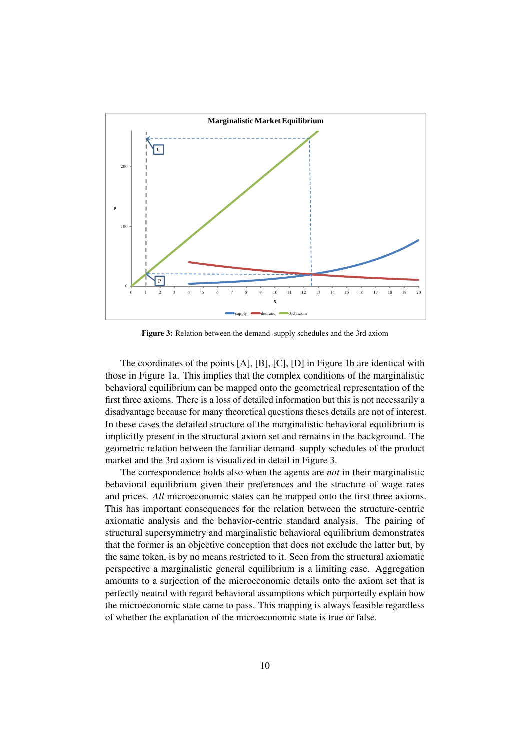

Figure 3: Relation between the demand–supply schedules and the 3rd axiom

The coordinates of the points [A], [B], [C], [D] in Figure 1b are identical with those in Figure 1a. This implies that the complex conditions of the marginalistic behavioral equilibrium can be mapped onto the geometrical representation of the first three axioms. There is a loss of detailed information but this is not necessarily a disadvantage because for many theoretical questions theses details are not of interest. In these cases the detailed structure of the marginalistic behavioral equilibrium is implicitly present in the structural axiom set and remains in the background. The geometric relation between the familiar demand–supply schedules of the product market and the 3rd axiom is visualized in detail in Figure 3.

The correspondence holds also when the agents are *not* in their marginalistic behavioral equilibrium given their preferences and the structure of wage rates and prices. *All* microeconomic states can be mapped onto the first three axioms. This has important consequences for the relation between the structure-centric axiomatic analysis and the behavior-centric standard analysis. The pairing of structural supersymmetry and marginalistic behavioral equilibrium demonstrates that the former is an objective conception that does not exclude the latter but, by the same token, is by no means restricted to it. Seen from the structural axiomatic perspective a marginalistic general equilibrium is a limiting case. Aggregation amounts to a surjection of the microeconomic details onto the axiom set that is perfectly neutral with regard behavioral assumptions which purportedly explain how the microeconomic state came to pass. This mapping is always feasible regardless of whether the explanation of the microeconomic state is true or false.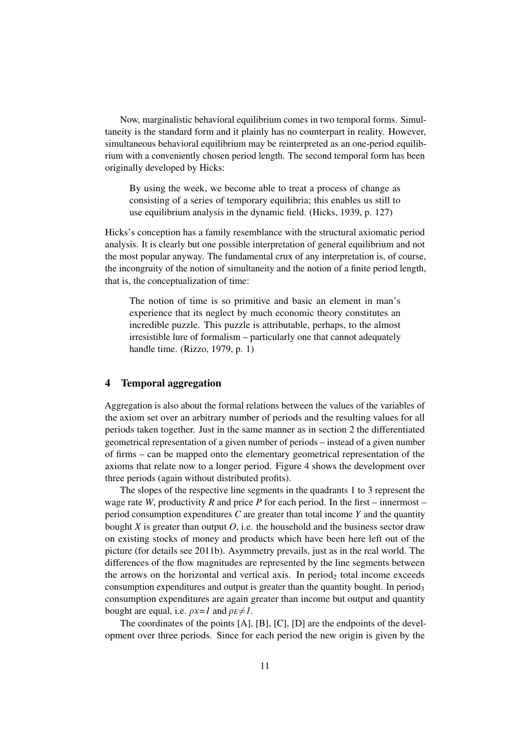Now, marginalistic behavioral equilibrium comes in two temporal forms. Simultaneity is the standard form and it plainly has no counterpart in reality. However, simultaneous behavioral equilibrium may be reinterpreted as an one-period equilibrium with a conveniently chosen period length. The second temporal form has been originally developed by Hicks:

By using the week, we become able to treat a process of change as consisting of a series of temporary equilibria; this enables us still to use equilibrium analysis in the dynamic field. (Hicks, 1939, p. 127)

Hicks's conception has a family resemblance with the structural axiomatic period analysis. It is clearly but one possible interpretation of general equilibrium and not the most popular anyway. The fundamental crux of any interpretation is, of course, the incongruity of the notion of simultaneity and the notion of a finite period length, that is, the conceptualization of time:

The notion of time is so primitive and basic an element in man's experience that its neglect by much economic theory constitutes an incredible puzzle. This puzzle is attributable, perhaps, to the almost irresistible lure of formalism – particularly one that cannot adequately handle time. (Rizzo, 1979, p. 1)

#### 4 Temporal aggregation

Aggregation is also about the formal relations between the values of the variables of the axiom set over an arbitrary number of periods and the resulting values for all periods taken together. Just in the same manner as in section 2 the differentiated geometrical representation of a given number of periods – instead of a given number of firms – can be mapped onto the elementary geometrical representation of the axioms that relate now to a longer period. Figure 4 shows the development over three periods (again without distributed profits).

The slopes of the respective line segments in the quadrants 1 to 3 represent the wage rate *W*, productivity *R* and price *P* for each period. In the first – innermost – period consumption expenditures *C* are greater than total income *Y* and the quantity bought  $X$  is greater than output  $O$ , i.e. the household and the business sector draw on existing stocks of money and products which have been here left out of the picture (for details see 2011b). Asymmetry prevails, just as in the real world. The differences of the flow magnitudes are represented by the line segments between the arrows on the horizontal and vertical axis. In period<sub>2</sub> total income exceeds consumption expenditures and output is greater than the quantity bought. In period<sub>3</sub> consumption expenditures are again greater than income but output and quantity bought are equal, i.e.  $\rho x = 1$  and  $\rho E \neq 1$ .

The coordinates of the points [A], [B], [C], [D] are the endpoints of the development over three periods. Since for each period the new origin is given by the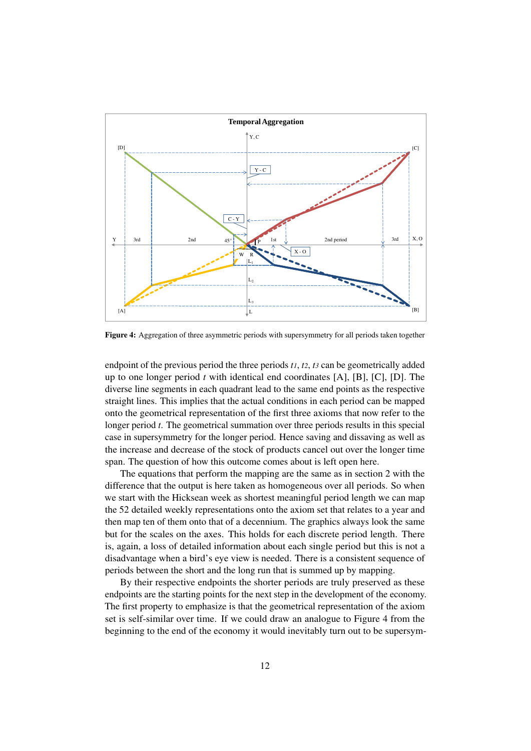

Figure 4: Aggregation of three asymmetric periods with supersymmetry for all periods taken together

endpoint of the previous period the three periods *t1*, *t2*, *t3* can be geometrically added up to one longer period *t* with identical end coordinates [A], [B], [C], [D]. The diverse line segments in each quadrant lead to the same end points as the respective straight lines. This implies that the actual conditions in each period can be mapped onto the geometrical representation of the first three axioms that now refer to the longer period *t*. The geometrical summation over three periods results in this special case in supersymmetry for the longer period. Hence saving and dissaving as well as the increase and decrease of the stock of products cancel out over the longer time span. The question of how this outcome comes about is left open here.

The equations that perform the mapping are the same as in section 2 with the difference that the output is here taken as homogeneous over all periods. So when we start with the Hicksean week as shortest meaningful period length we can map the 52 detailed weekly representations onto the axiom set that relates to a year and then map ten of them onto that of a decennium. The graphics always look the same but for the scales on the axes. This holds for each discrete period length. There is, again, a loss of detailed information about each single period but this is not a disadvantage when a bird's eye view is needed. There is a consistent sequence of periods between the short and the long run that is summed up by mapping.

By their respective endpoints the shorter periods are truly preserved as these endpoints are the starting points for the next step in the development of the economy. The first property to emphasize is that the geometrical representation of the axiom set is self-similar over time. If we could draw an analogue to Figure 4 from the beginning to the end of the economy it would inevitably turn out to be supersym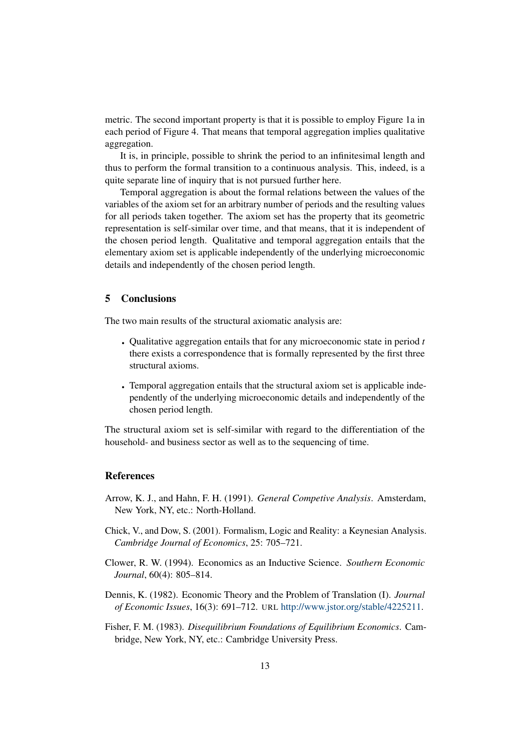metric. The second important property is that it is possible to employ Figure 1a in each period of Figure 4. That means that temporal aggregation implies qualitative aggregation.

It is, in principle, possible to shrink the period to an infinitesimal length and thus to perform the formal transition to a continuous analysis. This, indeed, is a quite separate line of inquiry that is not pursued further here.

Temporal aggregation is about the formal relations between the values of the variables of the axiom set for an arbitrary number of periods and the resulting values for all periods taken together. The axiom set has the property that its geometric representation is self-similar over time, and that means, that it is independent of the chosen period length. Qualitative and temporal aggregation entails that the elementary axiom set is applicable independently of the underlying microeconomic details and independently of the chosen period length.

# 5 Conclusions

The two main results of the structural axiomatic analysis are:

- Qualitative aggregation entails that for any microeconomic state in period *t* there exists a correspondence that is formally represented by the first three structural axioms.
- Temporal aggregation entails that the structural axiom set is applicable independently of the underlying microeconomic details and independently of the chosen period length.

The structural axiom set is self-similar with regard to the differentiation of the household- and business sector as well as to the sequencing of time.

# **References**

- Arrow, K. J., and Hahn, F. H. (1991). *General Competive Analysis*. Amsterdam, New York, NY, etc.: North-Holland.
- Chick, V., and Dow, S. (2001). Formalism, Logic and Reality: a Keynesian Analysis. *Cambridge Journal of Economics*, 25: 705–721.
- Clower, R. W. (1994). Economics as an Inductive Science. *Southern Economic Journal*, 60(4): 805–814.
- Dennis, K. (1982). Economic Theory and the Problem of Translation (I). *Journal of Economic Issues*, 16(3): 691–712. URL http://www.jstor.org/stable/4225211.
- Fisher, F. M. (1983). *Disequilibrium Foundations of Equilibrium Economics*. Cambridge, New York, NY, etc.: Cambridge University Press.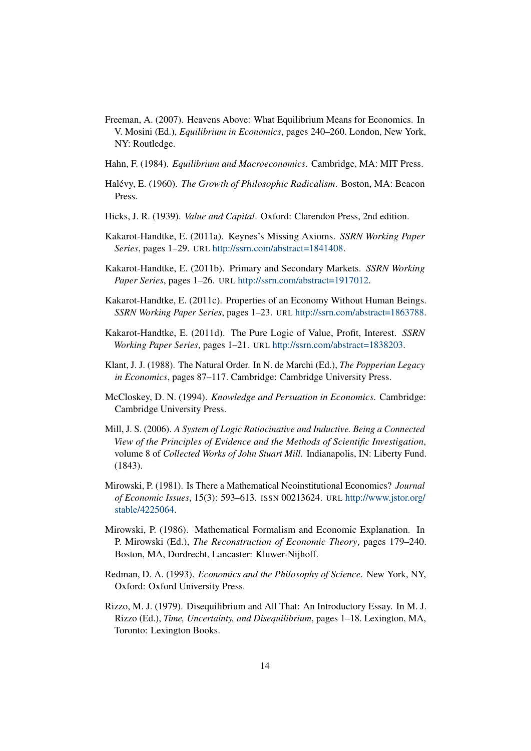- Freeman, A. (2007). Heavens Above: What Equilibrium Means for Economics. In V. Mosini (Ed.), *Equilibrium in Economics*, pages 240–260. London, New York, NY: Routledge.
- Hahn, F. (1984). *Equilibrium and Macroeconomics*. Cambridge, MA: MIT Press.
- Halévy, E. (1960). *The Growth of Philosophic Radicalism*. Boston, MA: Beacon Press.
- Hicks, J. R. (1939). *Value and Capital*. Oxford: Clarendon Press, 2nd edition.
- Kakarot-Handtke, E. (2011a). Keynes's Missing Axioms. *SSRN Working Paper Series*, pages 1–29. URL http://ssrn.com/abstract=1841408.
- Kakarot-Handtke, E. (2011b). Primary and Secondary Markets. *SSRN Working Paper Series*, pages 1–26. URL http://ssrn.com/abstract=1917012.
- Kakarot-Handtke, E. (2011c). Properties of an Economy Without Human Beings. *SSRN Working Paper Series*, pages 1–23. URL http://ssrn.com/abstract=1863788.
- Kakarot-Handtke, E. (2011d). The Pure Logic of Value, Profit, Interest. *SSRN Working Paper Series*, pages 1–21. URL http://ssrn.com/abstract=1838203.
- Klant, J. J. (1988). The Natural Order. In N. de Marchi (Ed.), *The Popperian Legacy in Economics*, pages 87–117. Cambridge: Cambridge University Press.
- McCloskey, D. N. (1994). *Knowledge and Persuation in Economics*. Cambridge: Cambridge University Press.
- Mill, J. S. (2006). *A System of Logic Ratiocinative and Inductive. Being a Connected View of the Principles of Evidence and the Methods of Scientific Investigation*, volume 8 of *Collected Works of John Stuart Mill*. Indianapolis, IN: Liberty Fund. (1843).
- Mirowski, P. (1981). Is There a Mathematical Neoinstitutional Economics? *Journal of Economic Issues*, 15(3): 593–613. ISSN 00213624. URL http://www.jstor.org/ stable/4225064.
- Mirowski, P. (1986). Mathematical Formalism and Economic Explanation. In P. Mirowski (Ed.), *The Reconstruction of Economic Theory*, pages 179–240. Boston, MA, Dordrecht, Lancaster: Kluwer-Nijhoff.
- Redman, D. A. (1993). *Economics and the Philosophy of Science*. New York, NY, Oxford: Oxford University Press.
- Rizzo, M. J. (1979). Disequilibrium and All That: An Introductory Essay. In M. J. Rizzo (Ed.), *Time, Uncertainty, and Disequilibrium*, pages 1–18. Lexington, MA, Toronto: Lexington Books.